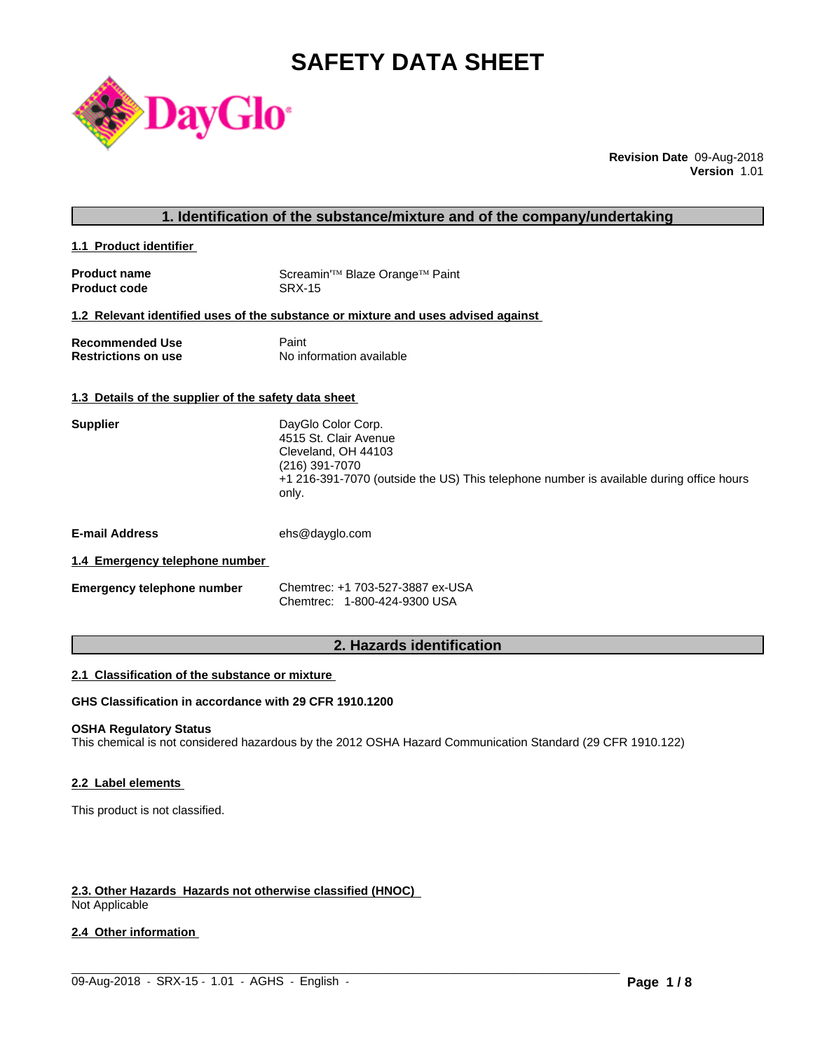# **SAFETY DATA SHEET**



**Revision Date** 09-Aug-2018 **Version** 1.01

| 1. Identification of the substance/mixture and of the company/undertaking |  |
|---------------------------------------------------------------------------|--|
|---------------------------------------------------------------------------|--|

**1.1 Product identifier** 

| <b>Product name</b> | Screamin <sup>'™</sup> Blaze Orange <sup>™</sup> Paint |
|---------------------|--------------------------------------------------------|
| <b>Product code</b> | SRX-15                                                 |

#### **1.2 Relevant identified uses of the substance or mixture and uses advised against**

| <b>Recommended Use</b>     | Paint                    |
|----------------------------|--------------------------|
| <b>Restrictions on use</b> | No information available |

#### **1.3 Details of the supplier of the safety data sheet**

| <b>Supplier</b> | DayGlo Color Corp.                                                                      |
|-----------------|-----------------------------------------------------------------------------------------|
|                 | 4515 St. Clair Avenue                                                                   |
|                 | Cleveland, OH 44103                                                                     |
|                 | (216) 391-7070                                                                          |
|                 | +1 216-391-7070 (outside the US) This telephone number is available during office hours |
|                 | only.                                                                                   |
|                 |                                                                                         |
|                 |                                                                                         |

**E-mail Address** ehs@dayglo.com

# **1.4 Emergency telephone number**

| <b>Emergency telephone number</b> | Chemtrec: +1 703-527-3887 ex-USA |
|-----------------------------------|----------------------------------|
|                                   | Chemtrec: 1-800-424-9300 USA     |

# **2. Hazards identification**

#### **2.1 Classification of the substance or mixture**

# **GHS Classification in accordance with 29 CFR 1910.1200**

# **OSHA Regulatory Status**

This chemical is not considered hazardous by the 2012 OSHA Hazard Communication Standard (29 CFR 1910.122)

 $\_$  ,  $\_$  ,  $\_$  ,  $\_$  ,  $\_$  ,  $\_$  ,  $\_$  ,  $\_$  ,  $\_$  ,  $\_$  ,  $\_$  ,  $\_$  ,  $\_$  ,  $\_$  ,  $\_$  ,  $\_$  ,  $\_$  ,  $\_$  ,  $\_$  ,  $\_$  ,  $\_$  ,  $\_$  ,  $\_$  ,  $\_$  ,  $\_$  ,  $\_$  ,  $\_$  ,  $\_$  ,  $\_$  ,  $\_$  ,  $\_$  ,  $\_$  ,  $\_$  ,  $\_$  ,  $\_$  ,  $\_$  ,  $\_$  ,

#### **2.2 Label elements**

This product is not classified.

# **2.3. Other Hazards Hazards not otherwise classified (HNOC)**

Not Applicable

# **2.4 Other information**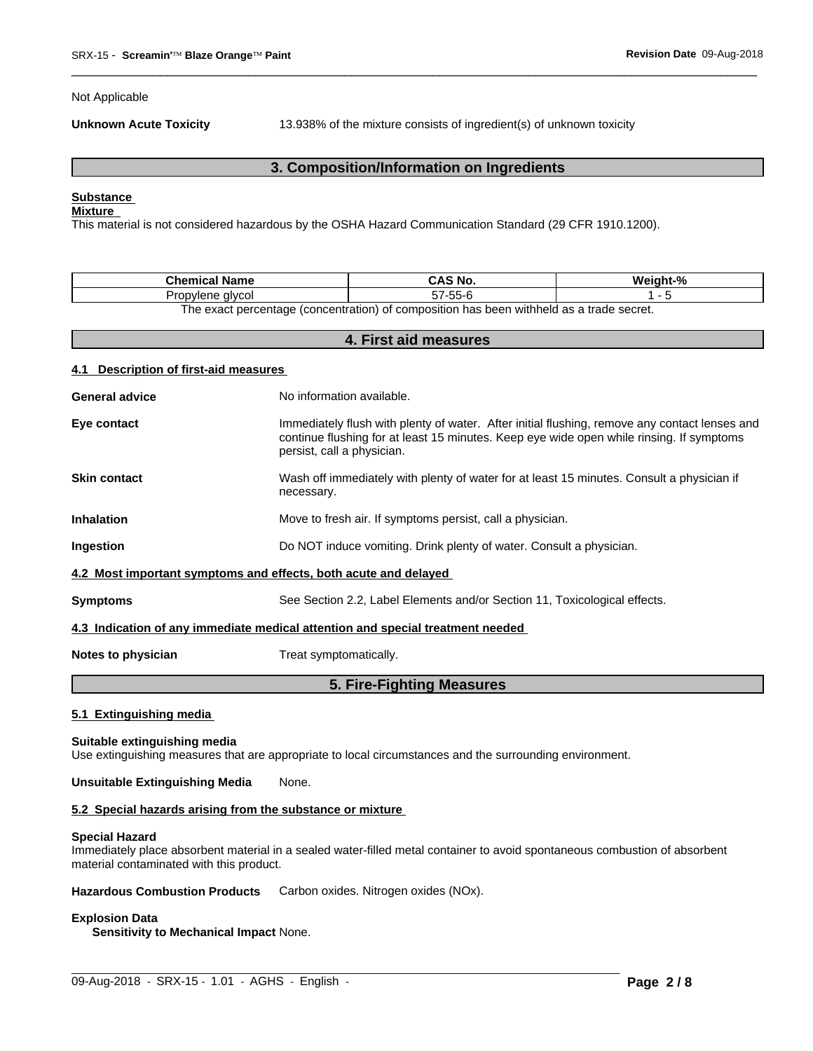Not Applicable

**Unknown Acute Toxicity** 13.938% of the mixture consists of ingredient(s) of unknown toxicity

 $\overline{\phantom{a}}$  ,  $\overline{\phantom{a}}$  ,  $\overline{\phantom{a}}$  ,  $\overline{\phantom{a}}$  ,  $\overline{\phantom{a}}$  ,  $\overline{\phantom{a}}$  ,  $\overline{\phantom{a}}$  ,  $\overline{\phantom{a}}$  ,  $\overline{\phantom{a}}$  ,  $\overline{\phantom{a}}$  ,  $\overline{\phantom{a}}$  ,  $\overline{\phantom{a}}$  ,  $\overline{\phantom{a}}$  ,  $\overline{\phantom{a}}$  ,  $\overline{\phantom{a}}$  ,  $\overline{\phantom{a}}$ 

# **3. Composition/Information on Ingredients**

# **Substance**

# **Mixture**

This material is not considered hazardous by the OSHA Hazard Communication Standard (29 CFR 1910.1200).

| Chemical<br><b>Name</b>                                                                |                    | $\mathbf{a}$ |  |  |
|----------------------------------------------------------------------------------------|--------------------|--------------|--|--|
| alvcoi<br>vlene<br>$\cdot$ uk                                                          | $- -$<br>--<br>. . |              |  |  |
| The exect perceptage (conceptration) of compaction has been withheld as a trade court. |                    |              |  |  |

The exact percentage (concentration) of composition has been withheld as a trade secret.

| 4. First aid measures                           |                                                                                                                                                                                                                         |  |  |
|-------------------------------------------------|-------------------------------------------------------------------------------------------------------------------------------------------------------------------------------------------------------------------------|--|--|
| <b>Description of first-aid measures</b><br>4.1 |                                                                                                                                                                                                                         |  |  |
| <b>General advice</b>                           | No information available.                                                                                                                                                                                               |  |  |
| Eye contact                                     | Immediately flush with plenty of water. After initial flushing, remove any contact lenses and<br>continue flushing for at least 15 minutes. Keep eye wide open while rinsing. If symptoms<br>persist, call a physician. |  |  |
| <b>Skin contact</b>                             | Wash off immediately with plenty of water for at least 15 minutes. Consult a physician if<br>necessary.                                                                                                                 |  |  |
| <b>Inhalation</b>                               | Move to fresh air. If symptoms persist, call a physician.                                                                                                                                                               |  |  |
| Ingestion                                       | Do NOT induce vomiting. Drink plenty of water. Consult a physician.                                                                                                                                                     |  |  |
|                                                 | 4.2 Most important symptoms and effects, both acute and delayed                                                                                                                                                         |  |  |
| <b>Symptoms</b>                                 | See Section 2.2, Label Elements and/or Section 11, Toxicological effects.                                                                                                                                               |  |  |
|                                                 | 4.3 Indication of any immediate medical attention and special treatment needed                                                                                                                                          |  |  |
| Notes to physician                              | Treat symptomatically.                                                                                                                                                                                                  |  |  |
|                                                 | 5. Fire-Fighting Measures                                                                                                                                                                                               |  |  |

# **5.1 Extinguishing media**

# **Suitable extinguishing media**

Use extinguishing measures that are appropriate to local circumstances and the surrounding environment.

# **Unsuitable Extinguishing Media** None.

#### **5.2 Special hazards arising from the substance or mixture**

#### **Special Hazard**

Immediately place absorbent material in a sealed water-filled metal container to avoid spontaneous combustion of absorbent material contaminated with this product.

 $\_$  ,  $\_$  ,  $\_$  ,  $\_$  ,  $\_$  ,  $\_$  ,  $\_$  ,  $\_$  ,  $\_$  ,  $\_$  ,  $\_$  ,  $\_$  ,  $\_$  ,  $\_$  ,  $\_$  ,  $\_$  ,  $\_$  ,  $\_$  ,  $\_$  ,  $\_$  ,  $\_$  ,  $\_$  ,  $\_$  ,  $\_$  ,  $\_$  ,  $\_$  ,  $\_$  ,  $\_$  ,  $\_$  ,  $\_$  ,  $\_$  ,  $\_$  ,  $\_$  ,  $\_$  ,  $\_$  ,  $\_$  ,  $\_$  ,

**Hazardous Combustion Products** Carbon oxides. Nitrogen oxides (NOx).

#### **Explosion Data**

**Sensitivity to Mechanical Impact** None.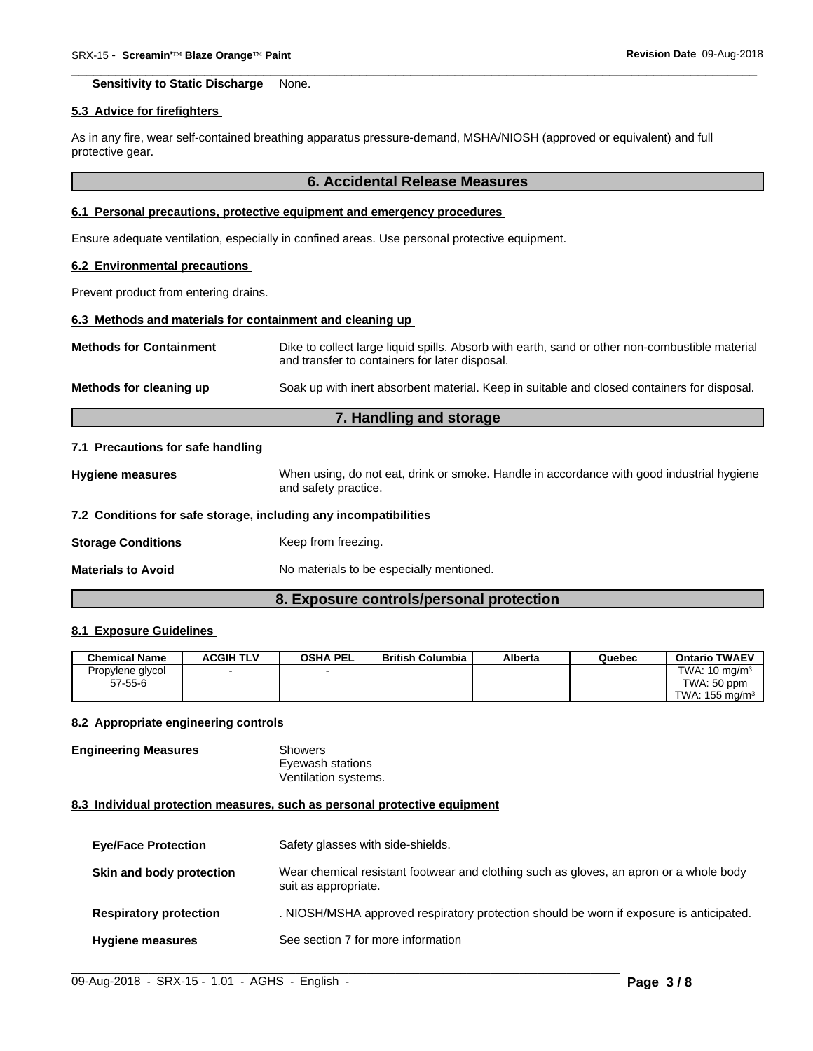**Sensitivity to Static Discharge** None.

#### **5.3 Advice for firefighters**

As in any fire, wear self-contained breathing apparatus pressure-demand, MSHA/NIOSH (approved or equivalent) and full protective gear.

#### **6. Accidental Release Measures**

 $\overline{\phantom{a}}$  ,  $\overline{\phantom{a}}$  ,  $\overline{\phantom{a}}$  ,  $\overline{\phantom{a}}$  ,  $\overline{\phantom{a}}$  ,  $\overline{\phantom{a}}$  ,  $\overline{\phantom{a}}$  ,  $\overline{\phantom{a}}$  ,  $\overline{\phantom{a}}$  ,  $\overline{\phantom{a}}$  ,  $\overline{\phantom{a}}$  ,  $\overline{\phantom{a}}$  ,  $\overline{\phantom{a}}$  ,  $\overline{\phantom{a}}$  ,  $\overline{\phantom{a}}$  ,  $\overline{\phantom{a}}$ 

# **6.1 Personal precautions, protective equipment and emergency procedures**

Ensure adequate ventilation, especially in confined areas. Use personal protective equipment.

#### **6.2 Environmental precautions**

Prevent product from entering drains.

#### **6.3 Methods and materials for containment and cleaning up**

| <b>Methods for Containment</b> | Dike to collect large liquid spills. Absorb with earth, sand or other non-combustible material<br>and transfer to containers for later disposal. |
|--------------------------------|--------------------------------------------------------------------------------------------------------------------------------------------------|
| Methods for cleaning up        | Soak up with inert absorbent material. Keep in suitable and closed containers for disposal.                                                      |

# **7. Handling and storage**

#### **7.1 Precautions for safe handling**

**Hygiene measures** When using, do not eat, drink or smoke. Handle in accordance with good industrial hygiene and safety practice.

#### **7.2 Conditions for safe storage, including any incompatibilities**

**Storage Conditions** Keep from freezing.

**Materials to Avoid** No materials to be especially mentioned.

# **8. Exposure controls/personal protection**

# **8.1 Exposure Guidelines**

| <b>Chemical Name</b> | <b>ACGIH TLV</b> | <b>OSHA PEL</b> | <b>British Columbia</b> | Alberta | Quebec | <b>Ontario TWAEV</b>      |
|----------------------|------------------|-----------------|-------------------------|---------|--------|---------------------------|
| Propylene glycol     |                  |                 |                         |         |        | TWA: $10 \text{ mg/m}^3$  |
| $57 - 55 - 6$        |                  |                 |                         |         |        | TWA: 50 ppm               |
|                      |                  |                 |                         |         |        | TWA: $155 \text{ mg/m}^3$ |

#### **8.2 Appropriate engineering controls**

**Engineering Measures** Showers Eyewash stations Ventilation systems.

#### **8.3 Individual protection measures, such as personal protective equipment**

| <b>Eye/Face Protection</b>    | Safety glasses with side-shields.                                                                              |
|-------------------------------|----------------------------------------------------------------------------------------------------------------|
| Skin and body protection      | Wear chemical resistant footwear and clothing such as gloves, an apron or a whole body<br>suit as appropriate. |
| <b>Respiratory protection</b> | . NIOSH/MSHA approved respiratory protection should be worn if exposure is anticipated.                        |
| <b>Hygiene measures</b>       | See section 7 for more information                                                                             |

 $\_$  ,  $\_$  ,  $\_$  ,  $\_$  ,  $\_$  ,  $\_$  ,  $\_$  ,  $\_$  ,  $\_$  ,  $\_$  ,  $\_$  ,  $\_$  ,  $\_$  ,  $\_$  ,  $\_$  ,  $\_$  ,  $\_$  ,  $\_$  ,  $\_$  ,  $\_$  ,  $\_$  ,  $\_$  ,  $\_$  ,  $\_$  ,  $\_$  ,  $\_$  ,  $\_$  ,  $\_$  ,  $\_$  ,  $\_$  ,  $\_$  ,  $\_$  ,  $\_$  ,  $\_$  ,  $\_$  ,  $\_$  ,  $\_$  ,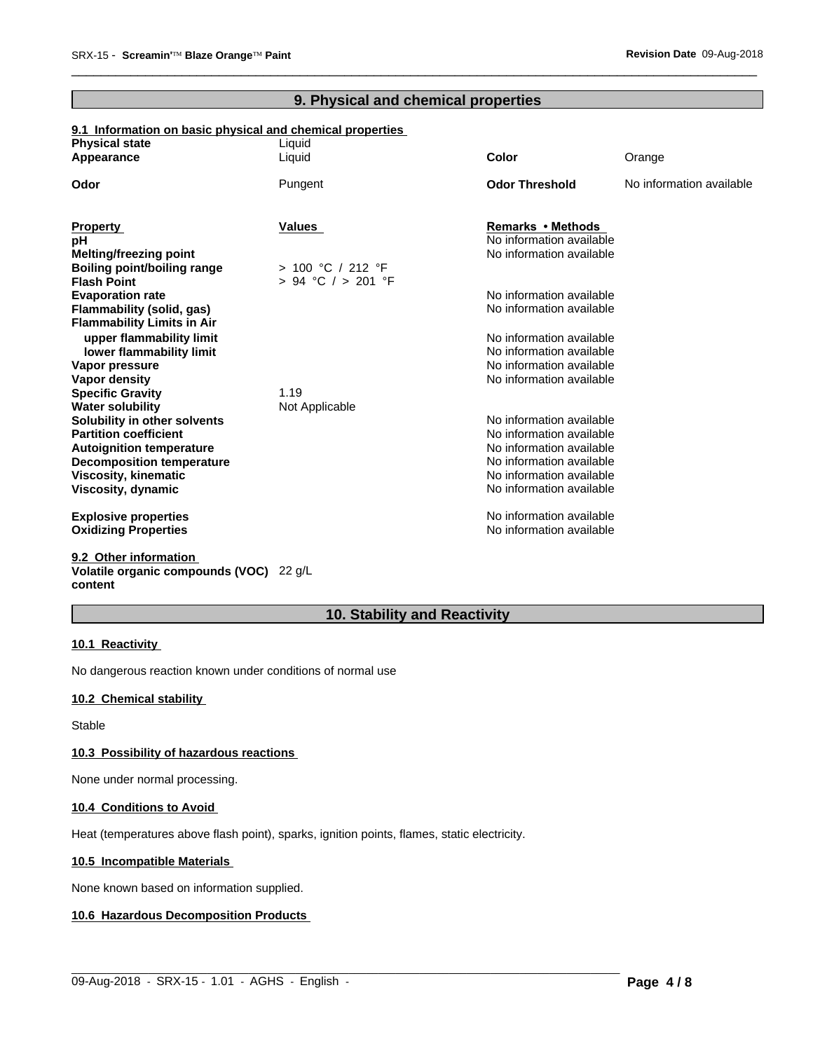# **9. Physical and chemical properties**

 $\overline{\phantom{a}}$  ,  $\overline{\phantom{a}}$  ,  $\overline{\phantom{a}}$  ,  $\overline{\phantom{a}}$  ,  $\overline{\phantom{a}}$  ,  $\overline{\phantom{a}}$  ,  $\overline{\phantom{a}}$  ,  $\overline{\phantom{a}}$  ,  $\overline{\phantom{a}}$  ,  $\overline{\phantom{a}}$  ,  $\overline{\phantom{a}}$  ,  $\overline{\phantom{a}}$  ,  $\overline{\phantom{a}}$  ,  $\overline{\phantom{a}}$  ,  $\overline{\phantom{a}}$  ,  $\overline{\phantom{a}}$ 

# **9.1 Information on basic physical and chemical properties**

| <b>Physical state</b>              | Liquid             |                                                      |                          |
|------------------------------------|--------------------|------------------------------------------------------|--------------------------|
| Appearance                         | Liquid             | Color                                                | Orange                   |
| Odor                               | Pungent            | <b>Odor Threshold</b>                                | No information available |
| <b>Property</b>                    | Values             | Remarks • Methods                                    |                          |
| рH                                 |                    | No information available                             |                          |
| <b>Melting/freezing point</b>      |                    | No information available                             |                          |
| <b>Boiling point/boiling range</b> | > 100 °C / 212 °F  |                                                      |                          |
| <b>Flash Point</b>                 | > 94 °C / > 201 °F |                                                      |                          |
| <b>Evaporation rate</b>            |                    | No information available                             |                          |
| Flammability (solid, gas)          |                    | No information available                             |                          |
| <b>Flammability Limits in Air</b>  |                    |                                                      |                          |
| upper flammability limit           |                    | No information available                             |                          |
| lower flammability limit           |                    | No information available                             |                          |
| Vapor pressure                     |                    | No information available                             |                          |
| <b>Vapor density</b>               |                    | No information available                             |                          |
| <b>Specific Gravity</b>            | 1.19               |                                                      |                          |
| <b>Water solubility</b>            | Not Applicable     |                                                      |                          |
| Solubility in other solvents       |                    | No information available                             |                          |
| <b>Partition coefficient</b>       |                    | No information available                             |                          |
| <b>Autoignition temperature</b>    |                    | No information available                             |                          |
| <b>Decomposition temperature</b>   |                    | No information available<br>No information available |                          |
| <b>Viscosity, kinematic</b>        |                    | No information available                             |                          |
| Viscosity, dynamic                 |                    |                                                      |                          |
| <b>Explosive properties</b>        |                    | No information available                             |                          |
| <b>Oxidizing Properties</b>        |                    | No information available                             |                          |
|                                    |                    |                                                      |                          |

**9.2 Other information Volatile organic compounds (VOC)** 22 g/L **content**

# **10. Stability and Reactivity**

 $\_$  ,  $\_$  ,  $\_$  ,  $\_$  ,  $\_$  ,  $\_$  ,  $\_$  ,  $\_$  ,  $\_$  ,  $\_$  ,  $\_$  ,  $\_$  ,  $\_$  ,  $\_$  ,  $\_$  ,  $\_$  ,  $\_$  ,  $\_$  ,  $\_$  ,  $\_$  ,  $\_$  ,  $\_$  ,  $\_$  ,  $\_$  ,  $\_$  ,  $\_$  ,  $\_$  ,  $\_$  ,  $\_$  ,  $\_$  ,  $\_$  ,  $\_$  ,  $\_$  ,  $\_$  ,  $\_$  ,  $\_$  ,  $\_$  ,

# **10.1 Reactivity**

No dangerous reaction known under conditions of normal use

#### **10.2 Chemical stability**

Stable

# **10.3 Possibility of hazardous reactions**

None under normal processing.

# **10.4 Conditions to Avoid**

Heat (temperatures above flash point), sparks, ignition points, flames, static electricity.

# **10.5 Incompatible Materials**

None known based on information supplied.

# **10.6 Hazardous Decomposition Products**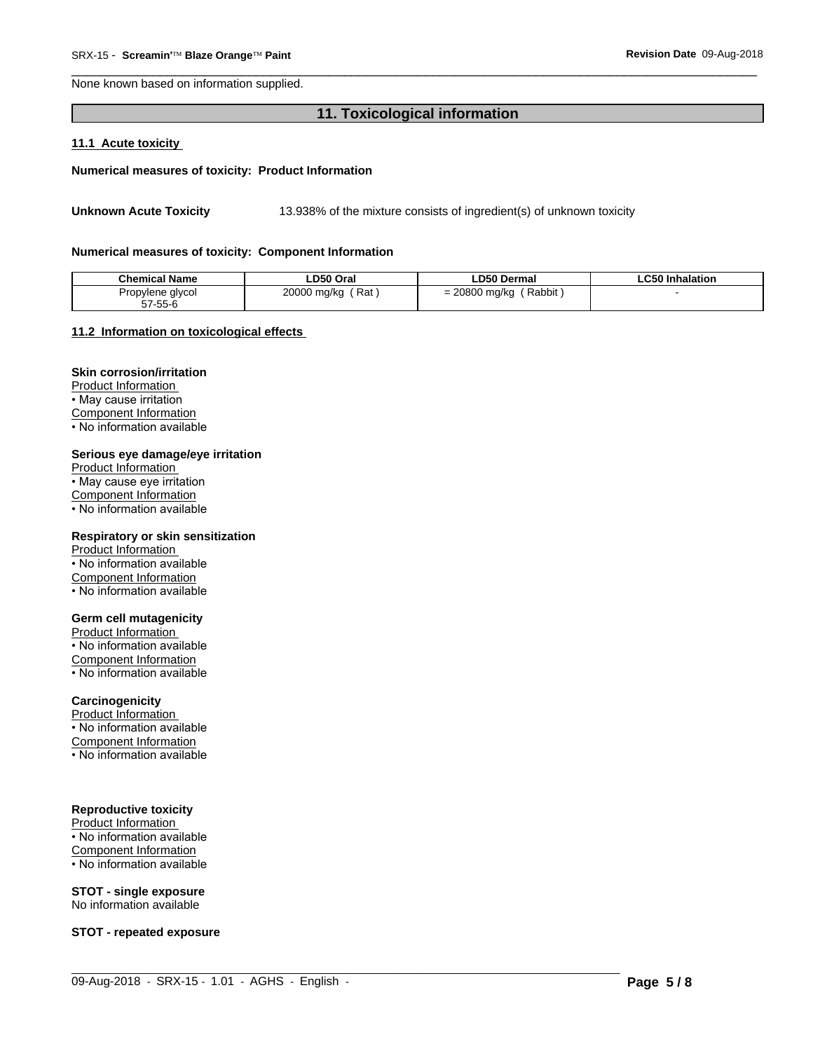None known based on information supplied.

# 11. Toxicological information

# 11.1 Acute toxicity

#### Numerical measures of toxicity: Product Information

13.938% of the mixture consists of ingredient(s) of unknown toxicity **Unknown Acute Toxicity** 

#### Numerical measures of toxicity: Component Information

| <b>Chemical Name</b> | ∟D50 Oral              | ∟D50 Dermal             | ∟C50 Inhalation |
|----------------------|------------------------|-------------------------|-----------------|
| Propylene glycol     | 20000 mg/kg<br>′ Rat . | Rabbit<br>= 20800 mg/kg |                 |
| 57-55-6              |                        |                         |                 |

#### 11.2 Information on toxicological effects

# **Skin corrosion/irritation**

Product Information • May cause irritation **Component Information** . No information available

#### Serious eye damage/eye irritation

Product Information • May cause eye irritation **Component Information** • No information available

#### Respiratory or skin sensitization

Product Information • No information available Component Information • No information available

# **Germ cell mutagenicity**

Product Information • No information available Component Information • No information available

# Carcinogenicity

Product Information • No information available Component Information

• No information available

# **Reproductive toxicity**

Product Information • No information available Component Information • No information available

# **STOT - single exposure**

No information available

**STOT - repeated exposure**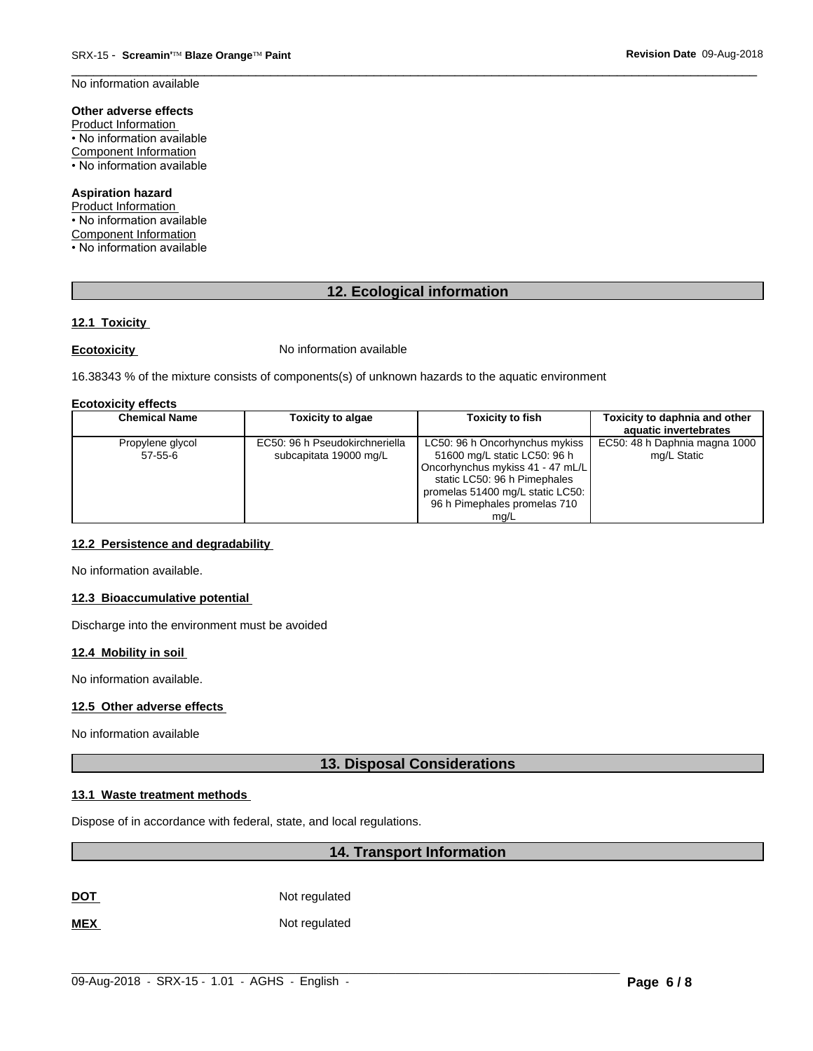No information available

# Other adverse effects

Product Information • No information available **Component Information** • No information available

# **Aspiration hazard**

Product Information • No information available Component Information • No information available

# 12. Ecological information

# 12.1 Toxicity

**Ecotoxicity** 

No information available

16.38343 % of the mixture consists of components(s) of unknown hazards to the aquatic environment

#### **Ecotoxicity effects**

| <b>Chemical Name</b>          | <b>Toxicity to algae</b>                                 | <b>Toxicity to fish</b>                                                                                                                                                                                        | Toxicity to daphnia and other<br>aquatic invertebrates |
|-------------------------------|----------------------------------------------------------|----------------------------------------------------------------------------------------------------------------------------------------------------------------------------------------------------------------|--------------------------------------------------------|
| Propylene glycol<br>$57-55-6$ | EC50: 96 h Pseudokirchneriella<br>subcapitata 19000 mg/L | LC50: 96 h Oncorhynchus mykiss<br>51600 mg/L static LC50: 96 h<br>Oncorhynchus mykiss 41 - 47 mL/L<br>static LC50: 96 h Pimephales<br>promelas 51400 mg/L static LC50:<br>96 h Pimephales promelas 710<br>ma/L | EC50: 48 h Daphnia magna 1000<br>mg/L Static           |

# 12.2 Persistence and degradability

No information available.

# 12.3 Bioaccumulative potential

Discharge into the environment must be avoided

# 12.4 Mobility in soil

No information available.

# 12.5 Other adverse effects

No information available

# **13. Disposal Considerations**

# 13.1 Waste treatment methods

Dispose of in accordance with federal, state, and local regulations.

# 14. Transport Information

Not regulated **DOT** 

**MEX** Not regulated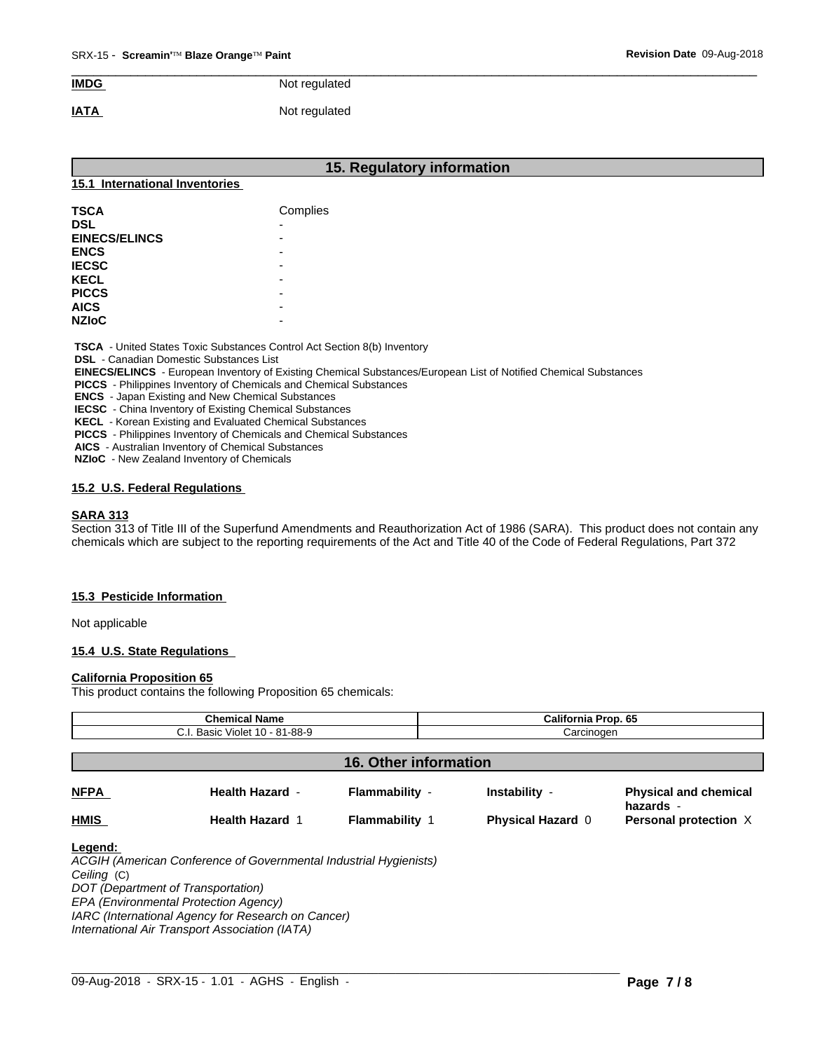# $\overline{\phantom{a}}$  ,  $\overline{\phantom{a}}$  ,  $\overline{\phantom{a}}$  ,  $\overline{\phantom{a}}$  ,  $\overline{\phantom{a}}$  ,  $\overline{\phantom{a}}$  ,  $\overline{\phantom{a}}$  ,  $\overline{\phantom{a}}$  ,  $\overline{\phantom{a}}$  ,  $\overline{\phantom{a}}$  ,  $\overline{\phantom{a}}$  ,  $\overline{\phantom{a}}$  ,  $\overline{\phantom{a}}$  ,  $\overline{\phantom{a}}$  ,  $\overline{\phantom{a}}$  ,  $\overline{\phantom{a}}$ **IMDG** Not regulated

# **IATA** Not regulated

| <b>TSCA</b> - United States Toxic Substances Control Act Section 8(b) Inventory |
|---------------------------------------------------------------------------------|

 **DSL** - Canadian Domestic Substances List

 **EINECS/ELINCS** - European Inventory of Existing Chemical Substances/European List of Notified Chemical Substances

 **PICCS** - Philippines Inventory of Chemicals and Chemical Substances

 **ENCS** - Japan Existing and New Chemical Substances

 **IECSC** - China Inventory of Existing Chemical Substances

 **KECL** - Korean Existing and Evaluated Chemical Substances

 **PICCS** - Philippines Inventory of Chemicals and Chemical Substances

 **AICS** - Australian Inventory of Chemical Substances

 **NZIoC** - New Zealand Inventory of Chemicals

# **15.2 U.S. Federal Regulations**

# **SARA 313**

Section 313 of Title III of the Superfund Amendments and Reauthorization Act of 1986 (SARA). This product does not contain any chemicals which are subject to the reporting requirements of the Act and Title 40 of the Code of Federal Regulations, Part 372

# **15.3 Pesticide Information**

Not applicable

# **15.4 U.S. State Regulations**

#### **California Proposition 65**

This product contains the following Proposition 65 chemicals:

| <b>Chemical Name</b>           |                                                                                                         |                              | <b>California Prop. 65</b> |                                           |
|--------------------------------|---------------------------------------------------------------------------------------------------------|------------------------------|----------------------------|-------------------------------------------|
| C.I. Basic Violet 10 - 81-88-9 |                                                                                                         |                              | Carcinogen                 |                                           |
|                                |                                                                                                         | <b>16. Other information</b> |                            |                                           |
| <b>NFPA</b>                    | <b>Health Hazard -</b>                                                                                  | Flammability -               | Instability -              | <b>Physical and chemical</b><br>hazards - |
| <b>HMIS</b>                    | <b>Health Hazard 1</b>                                                                                  | <b>Flammability 1</b>        | <b>Physical Hazard 0</b>   | Personal protection X                     |
| Legend:<br>Ceiling (C)         | ACGIH (American Conference of Governmental Industrial Hygienists)<br>DOT (Department of Transportation) |                              |                            |                                           |
|                                | EPA (Environmental Protection Agency)                                                                   |                              |                            |                                           |
|                                | IARC (International Agency for Research on Cancer)                                                      |                              |                            |                                           |

*International Air Transport Association (IATA)*